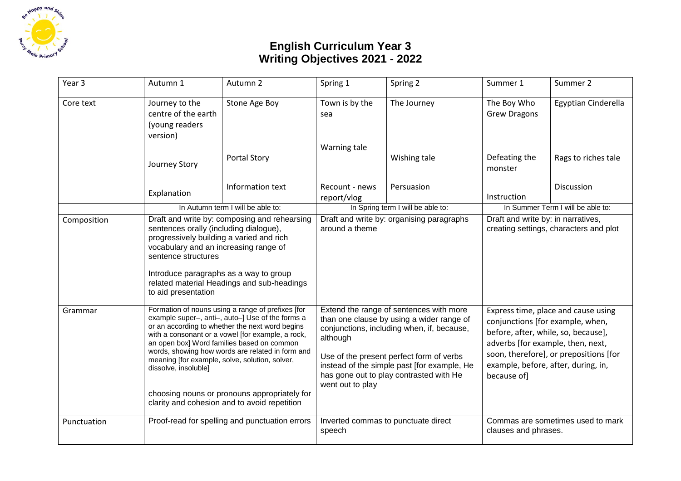

## **English Curriculum Year 3 Writing Objectives 2021 - 2022**

| Year 3      | Autumn 1                                                                                                                                                                                                                                                                                                                                                                                                                                                                                  | Autumn 2                                       | Spring 1                                                                                                                                                                                                                                                                                                 | Spring 2     | Summer 1                                                                                                                                                                                                                                            | Summer 2            |
|-------------|-------------------------------------------------------------------------------------------------------------------------------------------------------------------------------------------------------------------------------------------------------------------------------------------------------------------------------------------------------------------------------------------------------------------------------------------------------------------------------------------|------------------------------------------------|----------------------------------------------------------------------------------------------------------------------------------------------------------------------------------------------------------------------------------------------------------------------------------------------------------|--------------|-----------------------------------------------------------------------------------------------------------------------------------------------------------------------------------------------------------------------------------------------------|---------------------|
| Core text   | Journey to the<br>centre of the earth<br>(young readers<br>version)                                                                                                                                                                                                                                                                                                                                                                                                                       | Stone Age Boy                                  | Town is by the<br>sea                                                                                                                                                                                                                                                                                    | The Journey  | The Boy Who<br><b>Grew Dragons</b>                                                                                                                                                                                                                  | Egyptian Cinderella |
|             | Journey Story                                                                                                                                                                                                                                                                                                                                                                                                                                                                             | <b>Portal Story</b>                            | Warning tale                                                                                                                                                                                                                                                                                             | Wishing tale | Defeating the<br>monster                                                                                                                                                                                                                            | Rags to riches tale |
|             | Explanation                                                                                                                                                                                                                                                                                                                                                                                                                                                                               | Information text                               | Recount - news<br>report/vlog                                                                                                                                                                                                                                                                            | Persuasion   | Instruction                                                                                                                                                                                                                                         | <b>Discussion</b>   |
|             |                                                                                                                                                                                                                                                                                                                                                                                                                                                                                           | In Autumn term I will be able to:              | In Spring term I will be able to:                                                                                                                                                                                                                                                                        |              | In Summer Term I will be able to:                                                                                                                                                                                                                   |                     |
| Composition | Draft and write by: composing and rehearsing<br>sentences orally (including dialogue),<br>progressively building a varied and rich<br>vocabulary and an increasing range of<br>sentence structures<br>Introduce paragraphs as a way to group<br>related material Headings and sub-headings<br>to aid presentation                                                                                                                                                                         |                                                | Draft and write by: organising paragraphs<br>around a theme                                                                                                                                                                                                                                              |              | Draft and write by: in narratives,<br>creating settings, characters and plot                                                                                                                                                                        |                     |
| Grammar     | Formation of nouns using a range of prefixes [for<br>example super-, anti-, auto-] Use of the forms a<br>or an according to whether the next word begins<br>with a consonant or a vowel [for example, a rock,<br>an open box] Word families based on common<br>words, showing how words are related in form and<br>meaning [for example, solve, solution, solver,<br>dissolve, insoluble]<br>choosing nouns or pronouns appropriately for<br>clarity and cohesion and to avoid repetition |                                                | Extend the range of sentences with more<br>than one clause by using a wider range of<br>conjunctions, including when, if, because,<br>although<br>Use of the present perfect form of verbs<br>instead of the simple past [for example, He<br>has gone out to play contrasted with He<br>went out to play |              | Express time, place and cause using<br>conjunctions [for example, when,<br>before, after, while, so, because],<br>adverbs [for example, then, next,<br>soon, therefore], or prepositions [for<br>example, before, after, during, in,<br>because of] |                     |
| Punctuation |                                                                                                                                                                                                                                                                                                                                                                                                                                                                                           | Proof-read for spelling and punctuation errors | Inverted commas to punctuate direct<br>speech                                                                                                                                                                                                                                                            |              | Commas are sometimes used to mark<br>clauses and phrases.                                                                                                                                                                                           |                     |